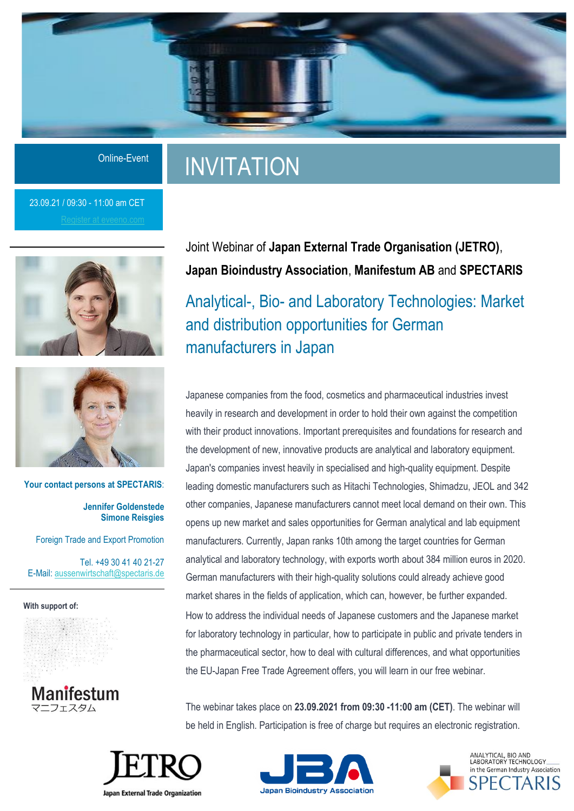

# INVITATION

23.09.21 / 09:30 - 11:00 am CET





**Your contact persons at SPECTARIS**: **Jennifer Goldenstede Simone Reisgies** 

Foreign Trade and Export Promotion

Tel. +49 30 41 40 21-27 E-Mail: [aussenwirtschaft@spectaris.de](mailto:aussenwirtschaft@spectaris.de)

**With support of:**

Manifestum ニフェスタム

## Joint Webinar of **Japan External Trade Organisation (JETRO)**, **Japan Bioindustry Association**, **Manifestum AB** and **SPECTARIS**

Analytical-, Bio- and Laboratory Technologies: Market and distribution opportunities for German manufacturers in Japan

Japanese companies from the food, cosmetics and pharmaceutical industries invest heavily in research and development in order to hold their own against the competition with their product innovations. Important prerequisites and foundations for research and the development of new, innovative products are analytical and laboratory equipment. Japan's companies invest heavily in specialised and high-quality equipment. Despite leading domestic manufacturers such as Hitachi Technologies, Shimadzu, JEOL and 342 other companies, Japanese manufacturers cannot meet local demand on their own. This opens up new market and sales opportunities for German analytical and lab equipment manufacturers. Currently, Japan ranks 10th among the target countries for German analytical and laboratory technology, with exports worth about 384 million euros in 2020. German manufacturers with their high-quality solutions could already achieve good market shares in the fields of application, which can, however, be further expanded. How to address the individual needs of Japanese customers and the Japanese market for laboratory technology in particular, how to participate in public and private tenders in the pharmaceutical sector, how to deal with cultural differences, and what opportunities the EU-Japan Free Trade Agreement offers, you will learn in our free webinar.

The webinar takes place on **23.09.2021 from 09:30 -11:00 am (CET)**. The webinar will be held in English. Participation is free of charge but requires an electronic registration.







**Japan External Trade Organization**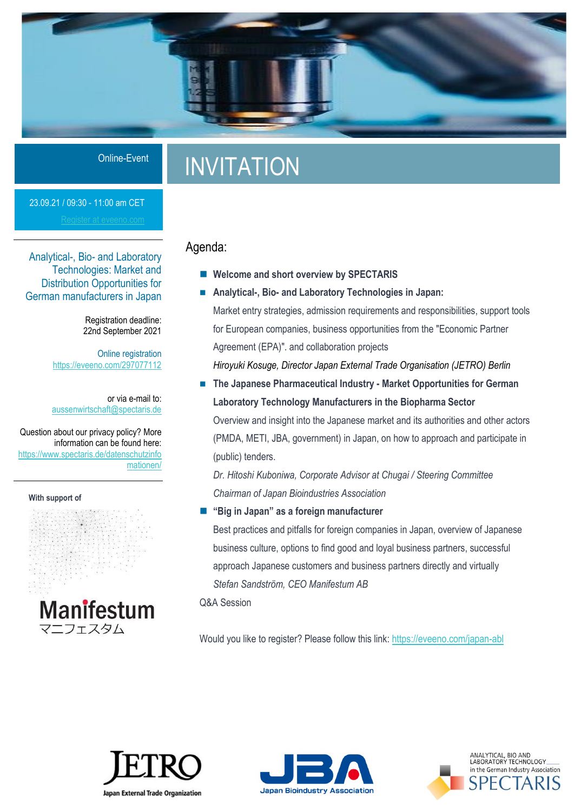

# INVITATION

23.09.21 / 09:30 - 11:00 am CET

Analytical-, Bio- and Laboratory Technologies: Market and Distribution Opportunities for German manufacturers in Japan

> Registration deadline: 22nd September 2021

Online registration <https://eveeno.com/297077112>

or via e-mail to: [aussenwirtschaft@spectaris.de](mailto:aussenwirtschaft@spectaris.de)

Question about our privacy policy? More information can be found here: https://www.spectaris.de/datenschutzinfo mationen/

**With support of**



### Agenda:

- Welcome and short overview by SPECTARIS
- Analytical-, Bio- and Laboratory Technologies in Japan: Market entry strategies, admission requirements and responsibilities, support tools for European companies, business opportunities from the "Economic Partner Agreement (EPA)". and collaboration projects *Hiroyuki Kosuge, Director Japan External Trade Organisation (JETRO) Berlin*
- The Japanese Pharmaceutical Industry Market Opportunities for German **Laboratory Technology Manufacturers in the Biopharma Sector**

Overview and insight into the Japanese market and its authorities and other actors (PMDA, METI, JBA, government) in Japan, on how to approach and participate in (public) tenders.

*Dr. Hitoshi Kuboniwa, Corporate Advisor at Chugai / Steering Committee Chairman of Japan Bioindustries Association*

### ◼ **"Big in Japan" as a foreign manufacturer**

Best practices and pitfalls for foreign companies in Japan, overview of Japanese business culture, options to find good and loyal business partners, successful approach Japanese customers and business partners directly and virtually *Stefan Sandström, CEO Manifestum AB*

Q&A Session

Would you like to register? Please follow this link[: https://eveeno.com/japan-abl](https://eveeno.com/297077112)





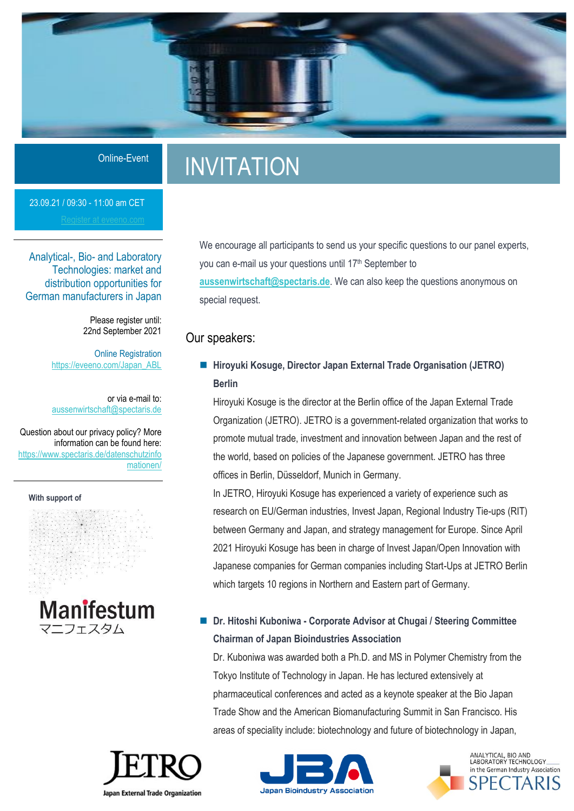

# INVITATION

23.09.21 / 09:30 - 11:00 am CET

Analytical-, Bio- and Laboratory Technologies: market and distribution opportunities for German manufacturers in Japan

> Please register until: 22nd September 2021

**Online Registration** [https://eveeno.com/Japan\\_ABL](https://eveeno.com/297077112)

or via e-mail to: [aussenwirtschaft@spectaris.de](mailto:aussenwirtschaft@spectaris.de)

Question about our privacy policy? More information can be found here: https://www.spectaris.de/datenschutzinfo mationen/

**With support of**



We encourage all participants to send us your specific questions to our panel experts, you can e-mail us your questions until 17<sup>th</sup> September to **[aussenwirtschaft@spectaris.de](mailto:aussenwirtschaft@spectaris.de)**. We can also keep the questions anonymous on special request.

### Our speakers:

■ Hiroyuki Kosuge, Director Japan External Trade Organisation (JETRO) **Berlin**

Hiroyuki Kosuge is the director at the Berlin office of the Japan External Trade Organization (JETRO). JETRO is a government-related organization that works to promote mutual trade, investment and innovation between Japan and the rest of the world, based on policies of the Japanese government. JETRO has three offices in Berlin, Düsseldorf, Munich in Germany.

In JETRO, Hiroyuki Kosuge has experienced a variety of experience such as research on EU/German industries, Invest Japan, Regional Industry Tie-ups (RIT) between Germany and Japan, and strategy management for Europe. Since April 2021 Hiroyuki Kosuge has been in charge of Invest Japan/Open Innovation with Japanese companies for German companies including Start-Ups at JETRO Berlin which targets 10 regions in Northern and Eastern part of Germany.

### ◼ **Dr. Hitoshi Kuboniwa - Corporate Advisor at Chugai / Steering Committee Chairman of Japan Bioindustries Association**

Dr. Kuboniwa was awarded both a Ph.D. and MS in Polymer Chemistry from the Tokyo Institute of Technology in Japan. He has lectured extensively at pharmaceutical conferences and acted as a keynote speaker at the Bio Japan Trade Show and the American Biomanufacturing Summit in San Francisco. His areas of speciality include: biotechnology and future of biotechnology in Japan,